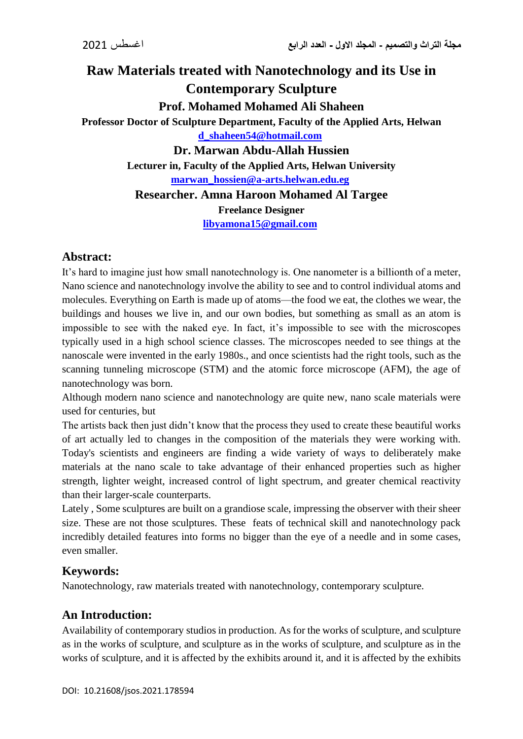# **Raw Materials treated with Nanotechnology and its Use in Contemporary Sculpture Prof. Mohamed Mohamed Ali Shaheen Professor Doctor of Sculpture Department, Faculty of the Applied Arts, Helwan [d\\_shaheen54@hotmail.com](mailto:d_shaheen54@hotmail.com) Dr. Marwan Abdu-Allah Hussien Lecturer in, Faculty of the Applied Arts, Helwan University [marwan\\_hossien@a-arts.helwan.edu.eg](mailto:marwan_hossien@a-arts.helwan.edu.eg) Researcher. Amna Haroon Mohamed Al Targee Freelance Designer [libyamona15@gmail.com](mailto:libyamona15@gmail.com)**

## **Abstract:**

It's hard to imagine just how small nanotechnology is. One nanometer is a billionth of a meter, Nano science and nanotechnology involve the ability to see and to control individual atoms and molecules. Everything on Earth is made up of atoms—the food we eat, the clothes we wear, the buildings and houses we live in, and our own bodies, but something as small as an atom is impossible to see with the naked eye. In fact, it's impossible to see with the microscopes typically used in a high school science classes. The microscopes needed to see things at the nanoscale were invented in the early 1980s., and once scientists had the right tools, such as the scanning tunneling microscope (STM) and the atomic force microscope (AFM), the age of nanotechnology was born.

Although modern nano science and nanotechnology are quite new, nano scale materials were used for centuries, but

The artists back then just didn't know that the process they used to create these beautiful works of art actually led to changes in the composition of the materials they were working with. Today's scientists and engineers are finding a wide variety of ways to deliberately make materials at the nano scale to take advantage of their enhanced properties such as higher strength, lighter weight, increased control of light spectrum, and greater chemical reactivity than their larger-scale counterparts.

Lately , Some sculptures are built on a grandiose scale, impressing the observer with their sheer size. These are not those sculptures. These feats of technical skill and nanotechnology pack incredibly detailed features into forms no bigger than the eye of a needle and in some cases, even smaller.

## **Keywords:**

Nanotechnology, raw materials treated with nanotechnology, contemporary sculpture.

## **An Introduction:**

Availability of contemporary studios in production. As for the works of sculpture, and sculpture as in the works of sculpture, and sculpture as in the works of sculpture, and sculpture as in the works of sculpture, and it is affected by the exhibits around it, and it is affected by the exhibits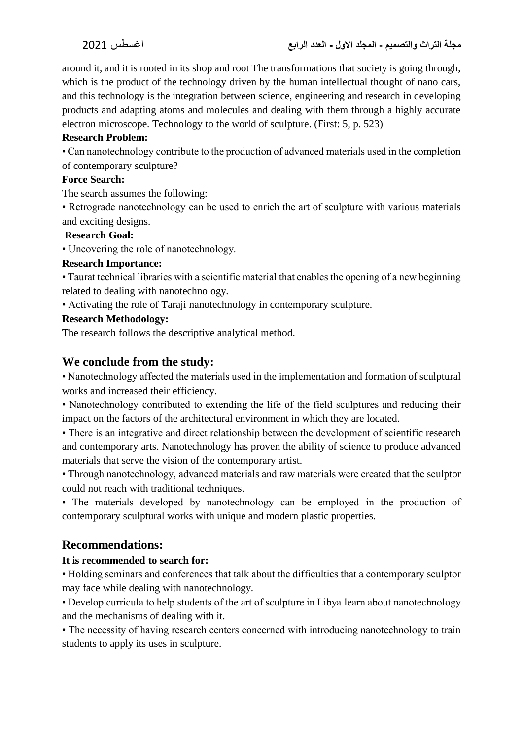around it, and it is rooted in its shop and root The transformations that society is going through, which is the product of the technology driven by the human intellectual thought of nano cars, and this technology is the integration between science, engineering and research in developing products and adapting atoms and molecules and dealing with them through a highly accurate electron microscope. Technology to the world of sculpture. (First: 5, p. 523)

### **Research Problem:**

• Can nanotechnology contribute to the production of advanced materials used in the completion of contemporary sculpture?

#### **Force Search:**

The search assumes the following:

• Retrograde nanotechnology can be used to enrich the art of sculpture with various materials and exciting designs.

#### **Research Goal:**

• Uncovering the role of nanotechnology.

#### **Research Importance:**

• Taurat technical libraries with a scientific material that enables the opening of a new beginning related to dealing with nanotechnology.

• Activating the role of Taraji nanotechnology in contemporary sculpture.

### **Research Methodology:**

The research follows the descriptive analytical method.

## **We conclude from the study:**

• Nanotechnology affected the materials used in the implementation and formation of sculptural works and increased their efficiency.

• Nanotechnology contributed to extending the life of the field sculptures and reducing their impact on the factors of the architectural environment in which they are located.

• There is an integrative and direct relationship between the development of scientific research and contemporary arts. Nanotechnology has proven the ability of science to produce advanced materials that serve the vision of the contemporary artist.

• Through nanotechnology, advanced materials and raw materials were created that the sculptor could not reach with traditional techniques.

• The materials developed by nanotechnology can be employed in the production of contemporary sculptural works with unique and modern plastic properties.

## **Recommendations:**

### **It is recommended to search for:**

• Holding seminars and conferences that talk about the difficulties that a contemporary sculptor may face while dealing with nanotechnology.

• Develop curricula to help students of the art of sculpture in Libya learn about nanotechnology and the mechanisms of dealing with it.

• The necessity of having research centers concerned with introducing nanotechnology to train students to apply its uses in sculpture.